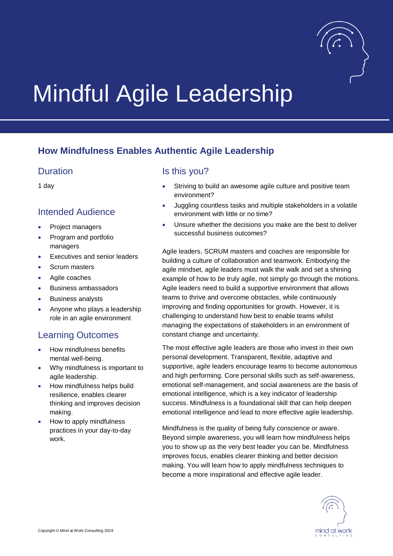

# Mindful Agile Leadership

## **How Mindfulness Enables Authentic Agile Leadership**

#### Duration

1 day

#### Intended Audience

- Project managers
- Program and portfolio managers
- Executives and senior leaders
- Scrum masters
- Agile coaches
- Business ambassadors
- Business analysts
- Anyone who plays a leadership role in an agile environment

### Learning Outcomes

- How mindfulness benefits mental well-being.
- Why mindfulness is important to agile leadership.
- How mindfulness helps build resilience, enables clearer thinking and improves decision making.
- How to apply mindfulness practices in your day-to-day work.

#### Is this you?

- Striving to build an awesome agile culture and positive team environment?
- Juggling countless tasks and multiple stakeholders in a volatile environment with little or no time?
- Unsure whether the decisions you make are the best to deliver successful business outcomes?

Agile leaders, SCRUM masters and coaches are responsible for building a culture of collaboration and teamwork. Embodying the agile mindset, agile leaders must walk the walk and set a shining example of how to *be* truly agile, not simply go through the motions. Agile leaders need to build a supportive environment that allows teams to thrive and overcome obstacles, while continuously improving and finding opportunities for growth. However, it is challenging to understand how best to enable teams whilst managing the expectations of stakeholders in an environment of constant change and uncertainty.

The most effective agile leaders are those who invest in their own personal development. Transparent, flexible, adaptive and supportive, agile leaders encourage teams to become autonomous and high performing. Core personal skills such as self-awareness, emotional self-management, and social awareness are the basis of emotional intelligence, which is a key indicator of leadership success. Mindfulness is a foundational skill that can help deepen emotional intelligence and lead to more effective agile leadership.

Mindfulness is the quality of being fully conscience or aware. Beyond simple awareness, you will learn how mindfulness helps you to show up as the very best leader you can be. Mindfulness improves focus, enables clearer thinking and better decision making. You will learn how to apply mindfulness techniques to become a more inspirational and effective agile leader.